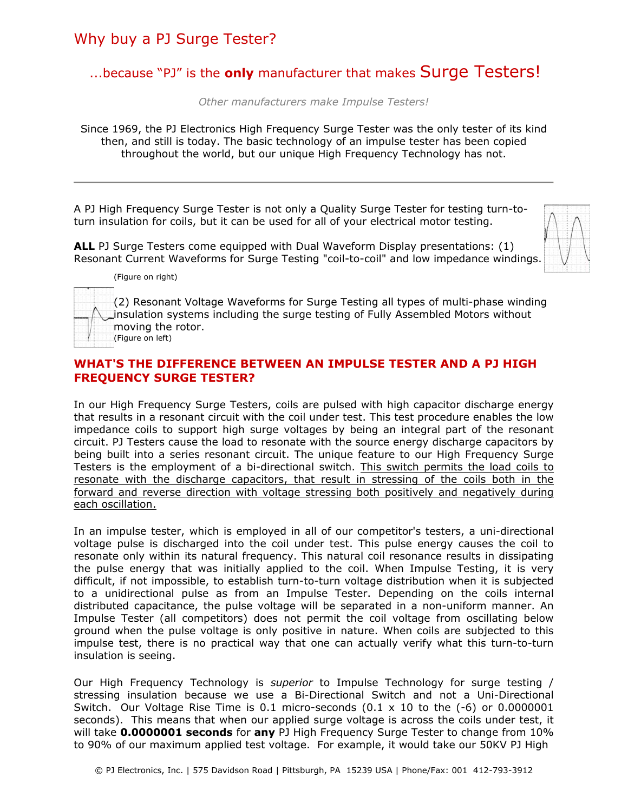# Why buy a PJ Surge Tester?

# ...because "PJ" is the **only** manufacturer that makes Surge Testers!

*Other manufacturers make Impulse Testers!* 

Since 1969, the PJ Electronics High Frequency Surge Tester was the only tester of its kind then, and still is today. The basic technology of an impulse tester has been copied throughout the world, but our unique High Frequency Technology has not.

A PJ High Frequency Surge Tester is not only a Quality Surge Tester for testing turn-toturn insulation for coils, but it can be used for all of your electrical motor testing.

**ALL** PJ Surge Testers come equipped with Dual Waveform Display presentations: (1) Resonant Current Waveforms for Surge Testing "coil-to-coil" and low impedance windings.



(Figure on right)

(2) Resonant Voltage Waveforms for Surge Testing all types of multi-phase winding insulation systems including the surge testing of Fully Assembled Motors without moving the rotor. (Figure on left)

#### **WHAT'S THE DIFFERENCE BETWEEN AN IMPULSE TESTER AND A PJ HIGH FREQUENCY SURGE TESTER?**

In our High Frequency Surge Testers, coils are pulsed with high capacitor discharge energy that results in a resonant circuit with the coil under test. This test procedure enables the low impedance coils to support high surge voltages by being an integral part of the resonant circuit. PJ Testers cause the load to resonate with the source energy discharge capacitors by being built into a series resonant circuit. The unique feature to our High Frequency Surge Testers is the employment of a bi-directional switch. This switch permits the load coils to resonate with the discharge capacitors, that result in stressing of the coils both in the forward and reverse direction with voltage stressing both positively and negatively during each oscillation.

In an impulse tester, which is employed in all of our competitor's testers, a uni-directional voltage pulse is discharged into the coil under test. This pulse energy causes the coil to resonate only within its natural frequency. This natural coil resonance results in dissipating the pulse energy that was initially applied to the coil. When Impulse Testing, it is very difficult, if not impossible, to establish turn-to-turn voltage distribution when it is subjected to a unidirectional pulse as from an Impulse Tester. Depending on the coils internal distributed capacitance, the pulse voltage will be separated in a non-uniform manner. An Impulse Tester (all competitors) does not permit the coil voltage from oscillating below ground when the pulse voltage is only positive in nature. When coils are subjected to this impulse test, there is no practical way that one can actually verify what this turn-to-turn insulation is seeing.

Our High Frequency Technology is *superior* to Impulse Technology for surge testing / stressing insulation because we use a Bi-Directional Switch and not a Uni-Directional Switch. Our Voltage Rise Time is 0.1 micro-seconds  $(0.1 \times 10$  to the  $(-6)$  or 0.0000001 seconds). This means that when our applied surge voltage is across the coils under test, it will take **0.0000001 seconds** for **any** PJ High Frequency Surge Tester to change from 10% to 90% of our maximum applied test voltage. For example, it would take our 50KV PJ High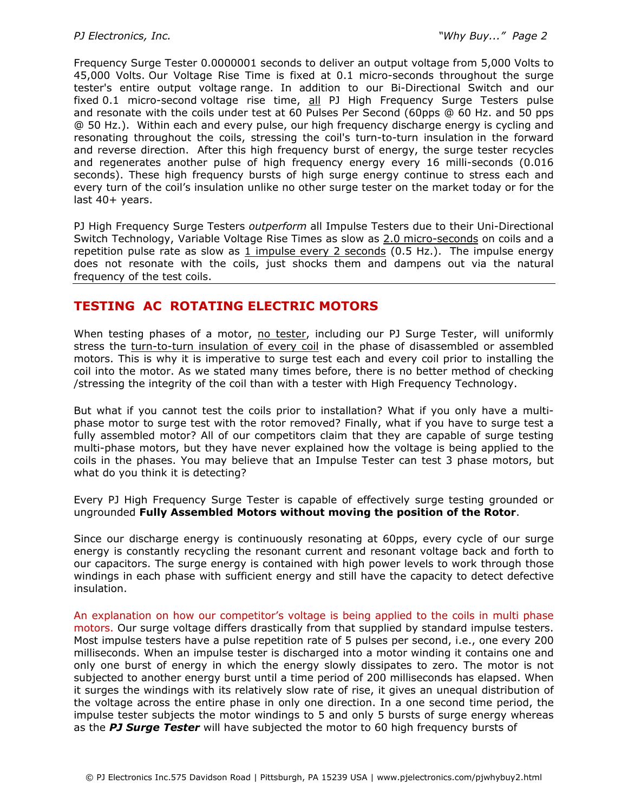Frequency Surge Tester 0.0000001 seconds to deliver an output voltage from 5,000 Volts to 45,000 Volts. Our Voltage Rise Time is fixed at 0.1 micro-seconds throughout the surge tester's entire output voltage range. In addition to our Bi-Directional Switch and our fixed 0.1 micro-second voltage rise time, all PJ High Frequency Surge Testers pulse and resonate with the coils under test at 60 Pulses Per Second (60pps @ 60 Hz. and 50 pps @ 50 Hz.). Within each and every pulse, our high frequency discharge energy is cycling and resonating throughout the coils, stressing the coil's turn-to-turn insulation in the forward and reverse direction. After this high frequency burst of energy, the surge tester recycles and regenerates another pulse of high frequency energy every 16 milli-seconds (0.016 seconds). These high frequency bursts of high surge energy continue to stress each and every turn of the coil's insulation unlike no other surge tester on the market today or for the last 40+ years.

PJ High Frequency Surge Testers *outperform* all Impulse Testers due to their Uni-Directional Switch Technology, Variable Voltage Rise Times as slow as 2.0 micro-seconds on coils and a repetition pulse rate as slow as 1 impulse every 2 seconds (0.5 Hz.). The impulse energy does not resonate with the coils, just shocks them and dampens out via the natural frequency of the test coils.

# **TESTING AC ROTATING ELECTRIC MOTORS**

When testing phases of a motor, no tester, including our PJ Surge Tester, will uniformly stress the turn-to-turn insulation of every coil in the phase of disassembled or assembled motors. This is why it is imperative to surge test each and every coil prior to installing the coil into the motor. As we stated many times before, there is no better method of checking /stressing the integrity of the coil than with a tester with High Frequency Technology.

But what if you cannot test the coils prior to installation? What if you only have a multiphase motor to surge test with the rotor removed? Finally, what if you have to surge test a fully assembled motor? All of our competitors claim that they are capable of surge testing multi-phase motors, but they have never explained how the voltage is being applied to the coils in the phases. You may believe that an Impulse Tester can test 3 phase motors, but what do you think it is detecting?

Every PJ High Frequency Surge Tester is capable of effectively surge testing grounded or ungrounded **Fully Assembled Motors without moving the position of the Rotor**.

Since our discharge energy is continuously resonating at 60pps, every cycle of our surge energy is constantly recycling the resonant current and resonant voltage back and forth to our capacitors. The surge energy is contained with high power levels to work through those windings in each phase with sufficient energy and still have the capacity to detect defective insulation.

An explanation on how our competitor's voltage is being applied to the coils in multi phase motors. Our surge voltage differs drastically from that supplied by standard impulse testers. Most impulse testers have a pulse repetition rate of 5 pulses per second, i.e., one every 200 milliseconds. When an impulse tester is discharged into a motor winding it contains one and only one burst of energy in which the energy slowly dissipates to zero. The motor is not subjected to another energy burst until a time period of 200 milliseconds has elapsed. When it surges the windings with its relatively slow rate of rise, it gives an unequal distribution of the voltage across the entire phase in only one direction. In a one second time period, the impulse tester subjects the motor windings to 5 and only 5 bursts of surge energy whereas as the *PJ Surge Tester* will have subjected the motor to 60 high frequency bursts of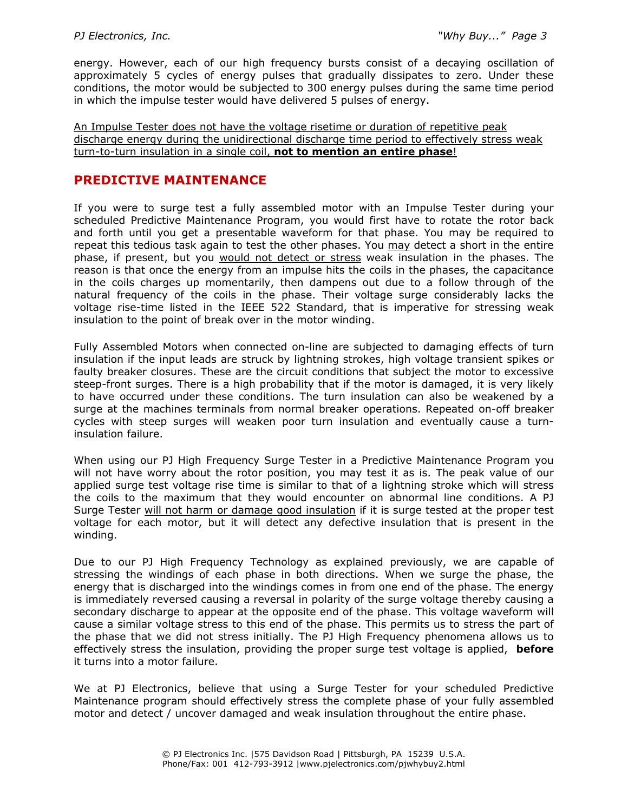energy. However, each of our high frequency bursts consist of a decaying oscillation of approximately 5 cycles of energy pulses that gradually dissipates to zero. Under these conditions, the motor would be subjected to 300 energy pulses during the same time period in which the impulse tester would have delivered 5 pulses of energy.

An Impulse Tester does not have the voltage risetime or duration of repetitive peak discharge energy during the unidirectional discharge time period to effectively stress weak turn-to-turn insulation in a single coil, **not to mention an entire phase**!

### **PREDICTIVE MAINTENANCE**

If you were to surge test a fully assembled motor with an Impulse Tester during your scheduled Predictive Maintenance Program, you would first have to rotate the rotor back and forth until you get a presentable waveform for that phase. You may be required to repeat this tedious task again to test the other phases. You may detect a short in the entire phase, if present, but you would not detect or stress weak insulation in the phases. The reason is that once the energy from an impulse hits the coils in the phases, the capacitance in the coils charges up momentarily, then dampens out due to a follow through of the natural frequency of the coils in the phase. Their voltage surge considerably lacks the voltage rise-time listed in the IEEE 522 Standard, that is imperative for stressing weak insulation to the point of break over in the motor winding.

Fully Assembled Motors when connected on-line are subjected to damaging effects of turn insulation if the input leads are struck by lightning strokes, high voltage transient spikes or faulty breaker closures. These are the circuit conditions that subject the motor to excessive steep-front surges. There is a high probability that if the motor is damaged, it is very likely to have occurred under these conditions. The turn insulation can also be weakened by a surge at the machines terminals from normal breaker operations. Repeated on-off breaker cycles with steep surges will weaken poor turn insulation and eventually cause a turninsulation failure.

When using our PJ High Frequency Surge Tester in a Predictive Maintenance Program you will not have worry about the rotor position, you may test it as is. The peak value of our applied surge test voltage rise time is similar to that of a lightning stroke which will stress the coils to the maximum that they would encounter on abnormal line conditions. A PJ Surge Tester will not harm or damage good insulation if it is surge tested at the proper test voltage for each motor, but it will detect any defective insulation that is present in the winding.

Due to our PJ High Frequency Technology as explained previously, we are capable of stressing the windings of each phase in both directions. When we surge the phase, the energy that is discharged into the windings comes in from one end of the phase. The energy is immediately reversed causing a reversal in polarity of the surge voltage thereby causing a secondary discharge to appear at the opposite end of the phase. This voltage waveform will cause a similar voltage stress to this end of the phase. This permits us to stress the part of the phase that we did not stress initially. The PJ High Frequency phenomena allows us to effectively stress the insulation, providing the proper surge test voltage is applied, **before** it turns into a motor failure.

We at PJ Electronics, believe that using a Surge Tester for your scheduled Predictive Maintenance program should effectively stress the complete phase of your fully assembled motor and detect / uncover damaged and weak insulation throughout the entire phase.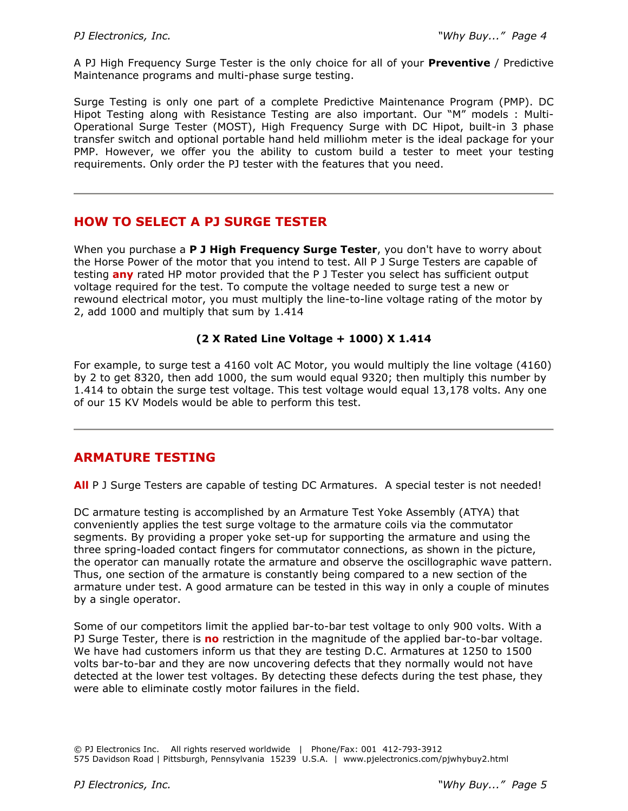A PJ High Frequency Surge Tester is the only choice for all of your **Preventive** / Predictive Maintenance programs and multi-phase surge testing.

Surge Testing is only one part of a complete Predictive Maintenance Program (PMP). DC Hipot Testing along with Resistance Testing are also important. Our "M" models : Multi-Operational Surge Tester (MOST), High Frequency Surge with DC Hipot, built-in 3 phase transfer switch and optional portable hand held milliohm meter is the ideal package for your PMP. However, we offer you the ability to custom build a tester to meet your testing requirements. Only order the PJ tester with the features that you need.

# **HOW TO SELECT A PJ SURGE TESTER**

When you purchase a **P J High Frequency Surge Tester**, you don't have to worry about the Horse Power of the motor that you intend to test. All P J Surge Testers are capable of testing **any** rated HP motor provided that the P J Tester you select has sufficient output voltage required for the test. To compute the voltage needed to surge test a new or rewound electrical motor, you must multiply the line-to-line voltage rating of the motor by 2, add 1000 and multiply that sum by 1.414

#### **(2 X Rated Line Voltage + 1000) X 1.414**

For example, to surge test a 4160 volt AC Motor, you would multiply the line voltage (4160) by 2 to get 8320, then add 1000, the sum would equal 9320; then multiply this number by 1.414 to obtain the surge test voltage. This test voltage would equal 13,178 volts. Any one of our 15 KV Models would be able to perform this test.

## **ARMATURE TESTING**

**All** P J Surge Testers are capable of testing DC Armatures. A special tester is not needed!

DC armature testing is accomplished by an Armature Test Yoke Assembly (ATYA) that conveniently applies the test surge voltage to the armature coils via the commutator segments. By providing a proper yoke set-up for supporting the armature and using the three spring-loaded contact fingers for commutator connections, as shown in the picture, the operator can manually rotate the armature and observe the oscillographic wave pattern. Thus, one section of the armature is constantly being compared to a new section of the armature under test. A good armature can be tested in this way in only a couple of minutes by a single operator.

Some of our competitors limit the applied bar-to-bar test voltage to only 900 volts. With a PJ Surge Tester, there is **no** restriction in the magnitude of the applied bar-to-bar voltage. We have had customers inform us that they are testing D.C. Armatures at 1250 to 1500 volts bar-to-bar and they are now uncovering defects that they normally would not have detected at the lower test voltages. By detecting these defects during the test phase, they were able to eliminate costly motor failures in the field.

<sup>©</sup> PJ Electronics Inc. All rights reserved worldwide | Phone/Fax: 001 412-793-3912 575 Davidson Road | Pittsburgh, Pennsylvania 15239 U.S.A. | www.pjelectronics.com/pjwhybuy2.html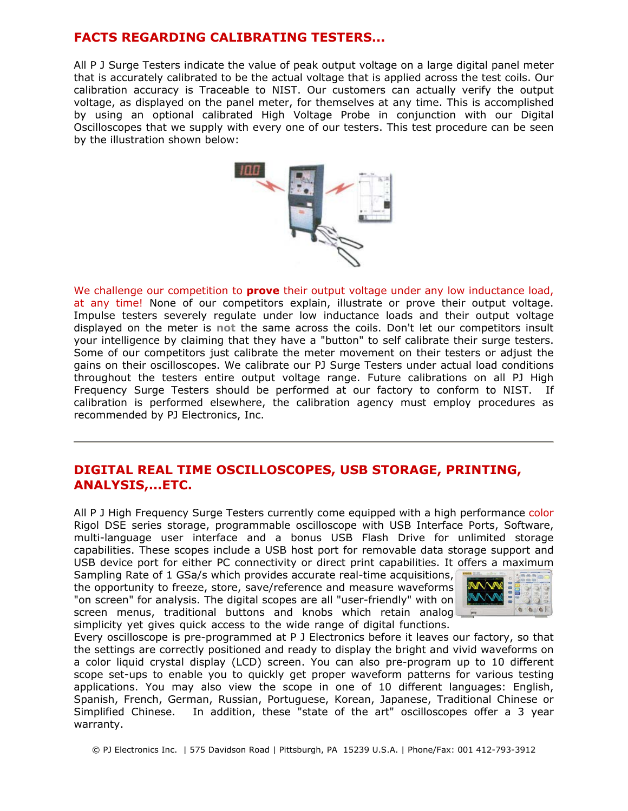## **FACTS REGARDING CALIBRATING TESTERS...**

All P J Surge Testers indicate the value of peak output voltage on a large digital panel meter that is accurately calibrated to be the actual voltage that is applied across the test coils. Our calibration accuracy is Traceable to NIST. Our customers can actually verify the output voltage, as displayed on the panel meter, for themselves at any time. This is accomplished by using an optional calibrated High Voltage Probe in conjunction with our Digital Oscilloscopes that we supply with every one of our testers. This test procedure can be seen by the illustration shown below:



We challenge our competition to **prove** their output voltage under any low inductance load, at any time! None of our competitors explain, illustrate or prove their output voltage. Impulse testers severely regulate under low inductance loads and their output voltage displayed on the meter is **not** the same across the coils. Don't let our competitors insult your intelligence by claiming that they have a "button" to self calibrate their surge testers. Some of our competitors just calibrate the meter movement on their testers or adjust the gains on their oscilloscopes. We calibrate our PJ Surge Testers under actual load conditions throughout the testers entire output voltage range. Future calibrations on all PJ High Frequency Surge Testers should be performed at our factory to conform to NIST. If calibration is performed elsewhere, the calibration agency must employ procedures as recommended by PJ Electronics, Inc.

#### **DIGITAL REAL TIME OSCILLOSCOPES, USB STORAGE, PRINTING, ANALYSIS,...ETC.**

All P J High Frequency Surge Testers currently come equipped with a high performance color Rigol DSE series storage, programmable oscilloscope with USB Interface Ports, Software, multi-language user interface and a bonus USB Flash Drive for unlimited storage capabilities. These scopes include a USB host port for removable data storage support and USB device port for either PC connectivity or direct print capabilities. It offers a maximum

Sampling Rate of 1 GSa/s which provides accurate real-time acquisitions, the opportunity to freeze, store, save/reference and measure waveforms "on screen" for analysis. The digital scopes are all "user-friendly" with on screen menus, traditional buttons and knobs which retain analog simplicity yet gives quick access to the wide range of digital functions.



Every oscilloscope is pre-programmed at P J Electronics before it leaves our factory, so that the settings are correctly positioned and ready to display the bright and vivid waveforms on a color liquid crystal display (LCD) screen. You can also pre-program up to 10 different scope set-ups to enable you to quickly get proper waveform patterns for various testing applications. You may also view the scope in one of 10 different languages: English, Spanish, French, German, Russian, Portuguese, Korean, Japanese, Traditional Chinese or Simplified Chinese. In addition, these "state of the art" oscilloscopes offer a 3 year warranty.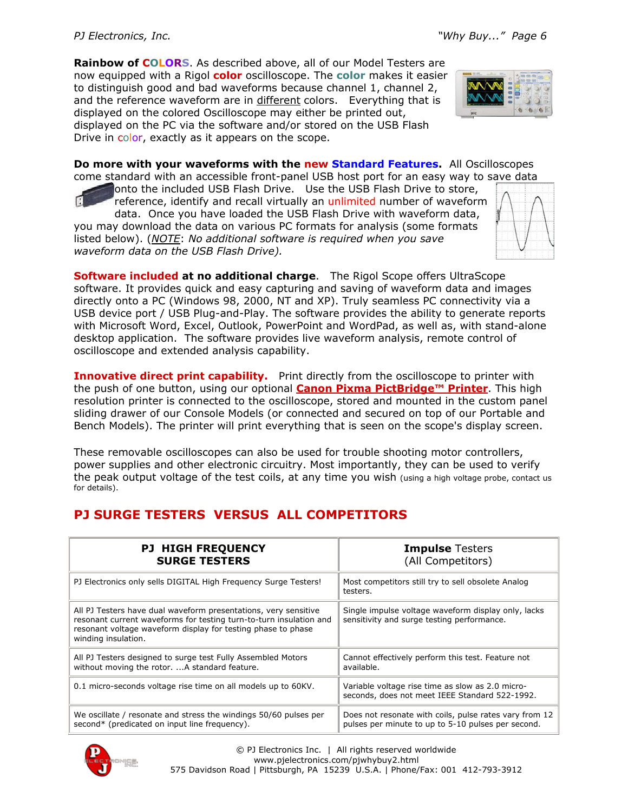**Rainbow of COLORS**. As described above, all of our Model Testers are now equipped with a Rigol **color** oscilloscope. The **color** makes it easier to distinguish good and bad waveforms because channel 1, channel 2, and the reference waveform are in different colors. Everything that is displayed on the colored Oscilloscope may either be printed out, displayed on the PC via the software and/or stored on the USB Flash Drive in color, exactly as it appears on the scope.



**Do more with your waveforms with the new Standard Features.** All Oscilloscopes come standard with an accessible front-panel USB host port for an easy way to save data

onto the included USB Flash Drive. Use the USB Flash Drive to store, reference, identify and recall virtually an unlimited number of waveform data. Once you have loaded the USB Flash Drive with waveform data, you may download the data on various PC formats for analysis (some formats listed below). (*NOTE*: *No additional software is required when you save waveform data on the USB Flash Drive).*

**Software included at no additional charge**. The Rigol Scope offers UltraScope software. It provides quick and easy capturing and saving of waveform data and images directly onto a PC (Windows 98, 2000, NT and XP). Truly seamless PC connectivity via a USB device port / USB Plug-and-Play. The software provides the ability to generate reports with Microsoft Word, Excel, Outlook, PowerPoint and WordPad, as well as, with stand-alone desktop application. The software provides live waveform analysis, remote control of oscilloscope and extended analysis capability.

**Innovative direct print capability.** Print directly from the oscilloscope to printer with the push of one button, using our optional **Canon Pixma PictBridge™ Printer**. This high resolution printer is connected to the oscilloscope, stored and mounted in the custom panel sliding drawer of our Console Models (or connected and secured on top of our Portable and Bench Models). The printer will print everything that is seen on the scope's display screen.

These removable oscilloscopes can also be used for trouble shooting motor controllers, power supplies and other electronic circuitry. Most importantly, they can be used to verify the peak output voltage of the test coils, at any time you wish (using a high voltage probe, contact us for details).

# **PJ SURGE TESTERS VERSUS ALL COMPETITORS**

| <b>PJ HIGH FREQUENCY</b>                                                                                                                                                                                                     | <b>Impulse Testers</b>                                                                             |
|------------------------------------------------------------------------------------------------------------------------------------------------------------------------------------------------------------------------------|----------------------------------------------------------------------------------------------------|
| <b>SURGE TESTERS</b>                                                                                                                                                                                                         | (All Competitors)                                                                                  |
| PJ Electronics only sells DIGITAL High Frequency Surge Testers!                                                                                                                                                              | Most competitors still try to sell obsolete Analog<br>testers.                                     |
| All PJ Testers have dual waveform presentations, very sensitive<br>resonant current waveforms for testing turn-to-turn insulation and<br>resonant voltage waveform display for testing phase to phase<br>winding insulation. | Single impulse voltage waveform display only, lacks<br>sensitivity and surge testing performance.  |
| All PJ Testers designed to surge test Fully Assembled Motors                                                                                                                                                                 | Cannot effectively perform this test. Feature not                                                  |
| without moving the rotor. A standard feature.                                                                                                                                                                                | available.                                                                                         |
| 0.1 micro-seconds voltage rise time on all models up to 60KV.                                                                                                                                                                | Variable voltage rise time as slow as 2.0 micro-<br>seconds, does not meet IEEE Standard 522-1992. |
| We oscillate / resonate and stress the windings 50/60 pulses per                                                                                                                                                             | Does not resonate with coils, pulse rates vary from 12                                             |
| second* (predicated on input line frequency).                                                                                                                                                                                | pulses per minute to up to 5-10 pulses per second.                                                 |



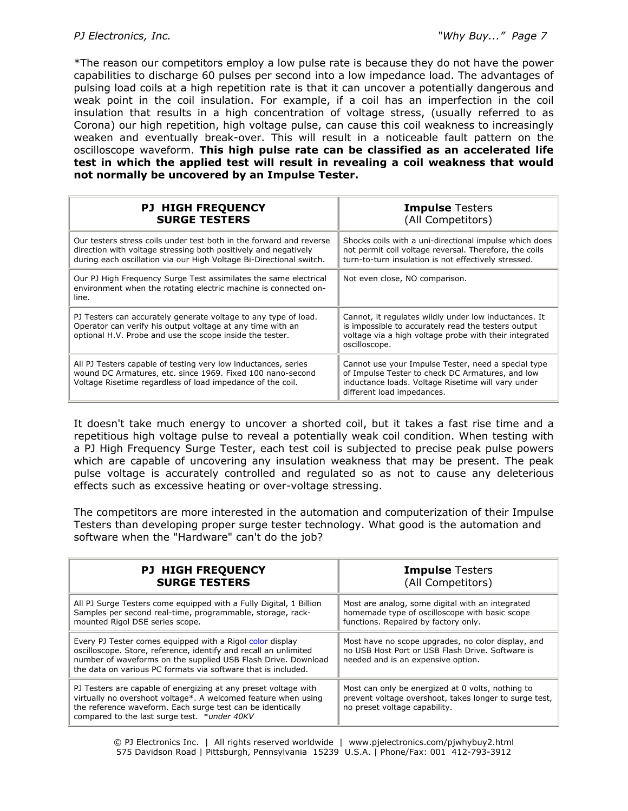\*The reason our competitors employ a low pulse rate is because they do not have the power capabilities to discharge 60 pulses per second into a low impedance load. The advantages of pulsing load coils at a high repetition rate is that it can uncover a potentially dangerous and weak point in the coil insulation. For example, if a coil has an imperfection in the coil insulation that results in a high concentration of voltage stress, (usually referred to as Corona) our high repetition, high voltage pulse, can cause this coil weakness to increasingly weaken and eventually break-over. This will result in a noticeable fault pattern on the oscilloscope waveform. **This high pulse rate can be classified as an accelerated life test in which the applied test will result in revealing a coil weakness that would not normally be uncovered by an Impulse Tester.**

| <b>PJ HIGH FREQUENCY</b><br><b>SURGE TESTERS</b>                                                                                                                                                              | <b>Impulse Testers</b><br>(All Competitors)                                                                                                                                                 |
|---------------------------------------------------------------------------------------------------------------------------------------------------------------------------------------------------------------|---------------------------------------------------------------------------------------------------------------------------------------------------------------------------------------------|
| Our testers stress coils under test both in the forward and reverse<br>direction with voltage stressing both positively and negatively<br>during each oscillation via our High Voltage Bi-Directional switch. | Shocks coils with a uni-directional impulse which does<br>not permit coil voltage reversal. Therefore, the coils<br>turn-to-turn insulation is not effectively stressed.                    |
| Our PJ High Frequency Surge Test assimilates the same electrical<br>environment when the rotating electric machine is connected on-<br>line.                                                                  | Not even close, NO comparison.                                                                                                                                                              |
| PJ Testers can accurately generate voltage to any type of load.<br>Operator can verify his output voltage at any time with an<br>optional H.V. Probe and use the scope inside the tester.                     | Cannot, it regulates wildly under low inductances. It<br>is impossible to accurately read the testers output<br>voltage via a high voltage probe with their integrated<br>oscilloscope.     |
| All PJ Testers capable of testing very low inductances, series<br>wound DC Armatures, etc. since 1969. Fixed 100 nano-second<br>Voltage Risetime regardless of load impedance of the coil.                    | Cannot use your Impulse Tester, need a special type<br>of Impulse Tester to check DC Armatures, and low<br>inductance loads. Voltage Risetime will vary under<br>different load impedances. |

It doesn't take much energy to uncover a shorted coil, but it takes a fast rise time and a repetitious high voltage pulse to reveal a potentially weak coil condition. When testing with a PJ High Frequency Surge Tester, each test coil is subjected to precise peak pulse powers which are capable of uncovering any insulation weakness that may be present. The peak pulse voltage is accurately controlled and regulated so as not to cause any deleterious effects such as excessive heating or over-voltage stressing.

The competitors are more interested in the automation and computerization of their Impulse Testers than developing proper surge tester technology. What good is the automation and software when the "Hardware" can't do the job?

| <b>PJ HIGH FREQUENCY</b>                                                                                                                                                                                                                                        | <b>Impulse Testers</b>                                                                                                                       |
|-----------------------------------------------------------------------------------------------------------------------------------------------------------------------------------------------------------------------------------------------------------------|----------------------------------------------------------------------------------------------------------------------------------------------|
| <b>SURGE TESTERS</b>                                                                                                                                                                                                                                            | (All Competitors)                                                                                                                            |
| All PJ Surge Testers come equipped with a Fully Digital, 1 Billion                                                                                                                                                                                              | Most are analog, some digital with an integrated                                                                                             |
| Samples per second real-time, programmable, storage, rack-                                                                                                                                                                                                      | homemade type of oscilloscope with basic scope                                                                                               |
| mounted Rigol DSE series scope.                                                                                                                                                                                                                                 | functions. Repaired by factory only.                                                                                                         |
| Every PJ Tester comes equipped with a Rigol color display<br>oscilloscope. Store, reference, identify and recall an unlimited<br>number of waveforms on the supplied USB Flash Drive. Download<br>the data on various PC formats via software that is included. | Most have no scope upgrades, no color display, and<br>no USB Host Port or USB Flash Drive. Software is<br>needed and is an expensive option. |
| PJ Testers are capable of energizing at any preset voltage with<br>virtually no overshoot voltage*. A welcomed feature when using<br>the reference waveform. Each surge test can be identically<br>compared to the last surge test. *under 40KV                 | Most can only be energized at 0 volts, nothing to<br>prevent voltage overshoot, takes longer to surge test,<br>no preset voltage capability. |